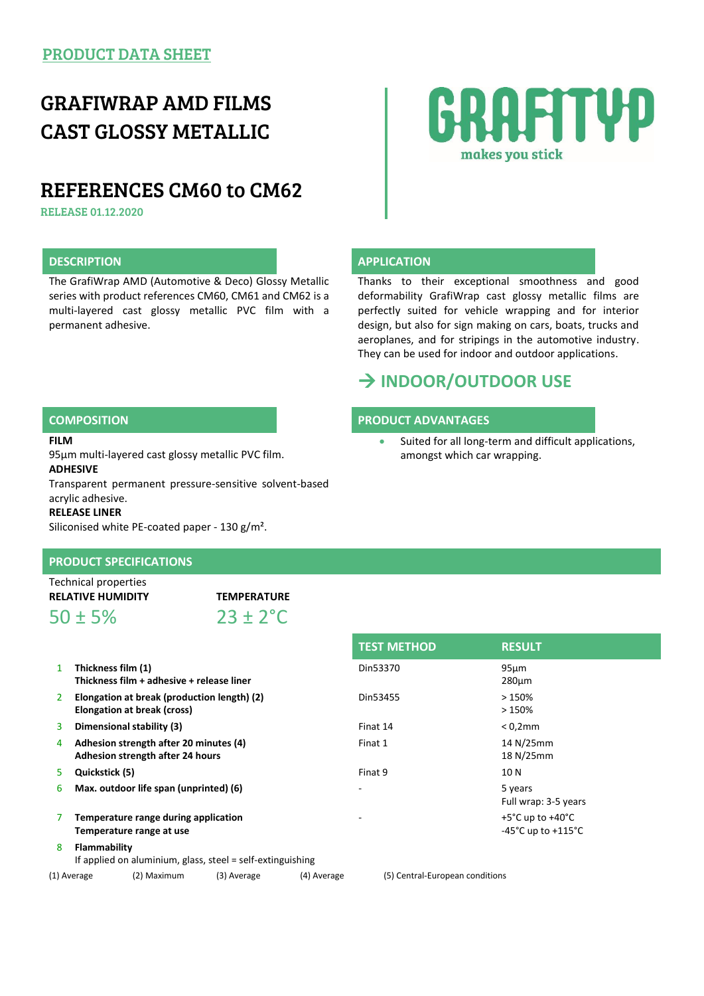## GRAFIWRAP AMD FILMS CAST GLOSSY METALLIC

## REFERENCES CM60 to CM62

RELEASE 01.12.2020

The GrafiWrap AMD (Automotive & Deco) Glossy Metallic series with product references CM60, CM61 and CM62 is a multi-layered cast glossy metallic PVC film with a permanent adhesive.

# RAFITUD makes you stick

### **DESCRIPTION CONSIDERED APPLICATION**

Thanks to their exceptional smoothness and good deformability GrafiWrap cast glossy metallic films are perfectly suited for vehicle wrapping and for interior design, but also for sign making on cars, boats, trucks and aeroplanes, and for stripings in the automotive industry. They can be used for indoor and outdoor applications.

## **INDOOR/OUTDOOR USE**

### **COMPOSITION PRODUCT ADVANTAGES**

 Suited for all long-term and difficult applications, amongst which car wrapping.

#### **FILM**

95µm multi-layered cast glossy metallic PVC film.

### **ADHESIVE**

Transparent permanent pressure-sensitive solvent-based acrylic adhesive.

#### **RELEASE LINER**

Siliconised white PE-coated paper - 130 g/m².

### **PRODUCT SPECIFICATIONS**

Technical properties **RELATIVE HUMIDITY TEMPERATURE**

 $50 \pm 5\%$  23 + 2<sup>°</sup>C

|               | Thickness film (1)<br>Thickness film + adhesive + release liner            | Din53370 | 95 <sub>µ</sub> m<br>280 <sub>um</sub>    |
|---------------|----------------------------------------------------------------------------|----------|-------------------------------------------|
| $\mathcal{P}$ | Elongation at break (production length) (2)<br>Elongation at break (cross) | Din53455 | >150%<br>>150%                            |
| 3             | Dimensional stability (3)                                                  | Finat 14 | $< 0.2$ mm                                |
| 4             | Adhesion strength after 20 minutes (4)<br>Adhesion strength after 24 hours | Finat 1  | 14 N/25<br>18 N/25                        |
| 5.            | Quickstick (5)                                                             | Finat 9  | 10 N                                      |
| 6             | Max. outdoor life span (unprinted) (6)                                     |          | 5 years<br>Full wrap                      |
| 7             | Temperature range during application<br>Temperature range at use           |          | $+5^{\circ}$ C up t<br>$-45^{\circ}$ C up |
| 8             | Flammability<br>If annifed on aluminium glass, steel = self-extinguishing  |          |                                           |

| <b>TEST METHOD</b> | <b>RESULT</b>                                                                    |
|--------------------|----------------------------------------------------------------------------------|
| Din53370           | $95 \mu m$<br>$280 \mu m$                                                        |
| Din53455           | >150%<br>>150%                                                                   |
| Finat 14           | $< 0.2$ mm                                                                       |
| Finat 1            | 14 N/25mm<br>18 N/25mm                                                           |
| Finat 9            | 10 N                                                                             |
|                    | 5 years<br>Full wrap: 3-5 years                                                  |
|                    | $+5^{\circ}$ C up to $+40^{\circ}$ C<br>-45 $^{\circ}$ C up to +115 $^{\circ}$ C |
|                    |                                                                                  |

If applied on aluminium, glass, steel = self-extinguishing

(1) Average (2) Maximum (3) Average (4) Average (5) Central-European conditions